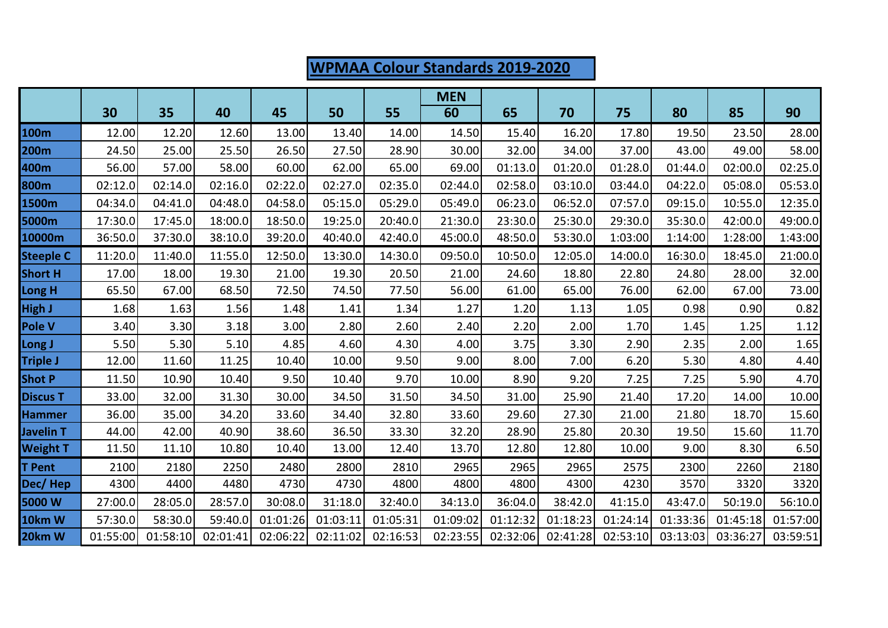## **WPMAA Colour Standards 2019-2020 MEN 30 35 40 45 50 55 60 65 70 75 80 85 90 100m** 12.00 12.20 12.60 13.00 13.40 14.00 14.50 15.40 16.20 17.80 19.50 23.50 28.00 **200m** 24.50 25.00 25.50 26.50 27.50 28.90 30.00 32.00 34.00 37.00 43.00 49.00 58.00 **400m** 56.00 57.00 58.00 60.00 62.00 65.00 69.00 01:13.0 01:20.0 01:28.0 01:44.0 02:00.0 02:25.0 **800m** 02:12.0 02:14.0 02:16.0 02:22.0 02:27.0 02:35.0 02:44.0 02:58.0 03:10.0 03:44.0 04:22.0 05:08.0 05:53.0 **1500m** 04:34.0 04:41.0 04:48.0 04:58.0 05:15.0 05:29.0 05:49.0 06:23.0 06:52.0 07:57.0 09:15.0 10:55.0 12:35.0 **5000m** 17:30.0 17:45.0 18:00.0 18:50.0 19:25.0 20:40.0 21:30.0 23:30.0 25:30.0 29:30.0 35:30.0 42:00.0 49:00.0 **10000m** 36:50.0 37:30.0 38:10.0 39:20.0 40:40.0 42:40.0 45:00.0 48:50.0 53:30.0 1:03:00 1:14:00 1:28:00 1:43:00 **Steeple C** 11:20.0 11:40.0 11:55.0 12:50.0 13:30.0 14:30.0 09:50.0 10:50.0 12:05.0 14:00.0 16:30.0 18:45.0 21:00.0 **Short H** 17.00 18.00 19.30 21.00 19.30 20.50 21.00 24.60 18.80 22.80 24.80 28.00 32.00 **Long H** 65.50 67.00 68.50 72.50 74.50 77.50 56.00 61.00 65.00 76.00 62.00 67.00 73.00 **High J** 1.68 1.63 1.56 1.48 1.41 1.34 1.27 1.20 1.13 1.05 0.98 0.90 0.82 **Pole V** 3.40 3.30 3.18 3.00 2.80 2.60 2.40 2.20 2.00 1.70 1.45 1.25 1.12 **Long J** 5.50 5.30 5.10 4.85 4.60 4.30 4.00 3.75 3.30 2.90 2.35 2.00 1.65 **Triple J** 12.00 11.60 11.25 10.40 10.00 9.50 9.00 8.00 7.00 6.20 5.30 4.80 4.40 **Shot P** 11.50 10.90 10.40 9.50 10.40 9.70 10.00 8.90 9.20 7.25 7.25 5.90 4.70 **Discus T** 33.00 32.00 31.30 30.00 34.50 31.50 34.50 31.00 25.90 21.40 17.20 14.00 10.00 **Hammer** 36.00 35.00 34.20 33.60 34.40 32.80 33.60 29.60 27.30 21.00 21.80 18.70 15.60 **Javelin T** 44.00 42.00 40.90 38.60 36.50 33.30 32.20 28.90 25.80 20.30 19.50 15.60 11.70 **Weight T** 11.50 11.10 10.80 10.40 13.00 12.40 13.70 12.80 12.80 10.00 9.00 8.30 6.50 **T Pent** 2100 2180 2250 2480 2800 2810 2965 2965 2965 2575 2300 2260 2180 **Dec/ Hep |** 4300| 4400| 4480| 4730| 4730| 4800| 4800| 4800| 4300| 4230| 3570| 3320| 3320 **5000 W** 27:00.0 28:05.0 28:57.0 30:08.0 31:18.0 32:40.0 34:13.0 36:04.0 38:42.0 41:15.0 43:47.0 50:19.0 56:10.0 **10km W** 57:30.0 58:30.0 59:40.0 01:01:26 01:03:11 01:05:31 01:09:02 01:12:32 01:18:23 01:24:14 01:33:36 01:45:18 01:57:00 **20km W** 01:55:00 01:58:10 02:01:41 02:06:22 02:11:02 02:16:53 02:23:55 02:32:06 02:41:28 02:53:10 03:13:03 03:36:27 03:59:51